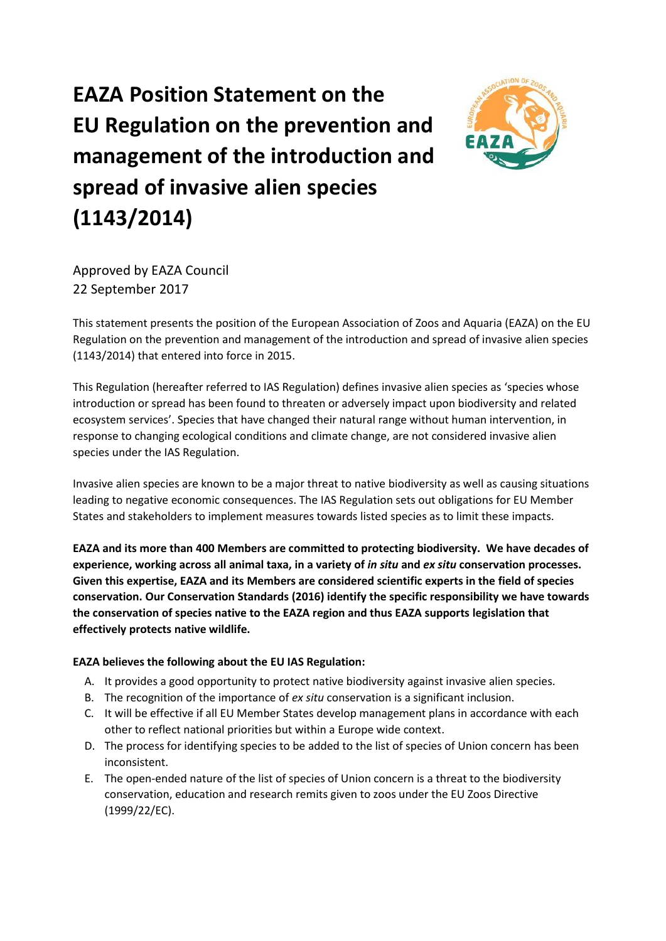# **EAZA Position Statement on the EU Regulation on the prevention and management of the introduction and spread of invasive alien species (1143/2014)**



Approved by EAZA Council 22 September 2017

This statement presents the position of the European Association of Zoos and Aquaria (EAZA) on the EU Regulation on the prevention and management of the introduction and spread of invasive alien species (1143/2014) that entered into force in 2015.

This Regulation (hereafter referred to IAS Regulation) defines invasive alien species as 'species whose introduction or spread has been found to threaten or adversely impact upon biodiversity and related ecosystem services'. Species that have changed their natural range without human intervention, in response to changing ecological conditions and climate change, are not considered invasive alien species under the IAS Regulation.

Invasive alien species are known to be a major threat to native biodiversity as well as causing situations leading to negative economic consequences. The IAS Regulation sets out obligations for EU Member States and stakeholders to implement measures towards listed species as to limit these impacts.

**EAZA and its more than 400 Members are committed to protecting biodiversity. We have decades of experience, working across all animal taxa, in a variety of** *in situ* **and** *ex situ* **conservation processes. Given this expertise, EAZA and its Members are considered scientific experts in the field of species conservation. Our Conservation Standards (2016) identify the specific responsibility we have towards the conservation of species native to the EAZA region and thus EAZA supports legislation that effectively protects native wildlife.**

## **EAZA believes the following about the EU IAS Regulation:**

- A. It provides a good opportunity to protect native biodiversity against invasive alien species.
- B. The recognition of the importance of *ex situ* conservation is a significant inclusion.
- C. It will be effective if all EU Member States develop management plans in accordance with each other to reflect national priorities but within a Europe wide context.
- D. The process for identifying species to be added to the list of species of Union concern has been inconsistent.
- E. The open-ended nature of the list of species of Union concern is a threat to the biodiversity conservation, education and research remits given to zoos under the EU Zoos Directive (1999/22/EC).